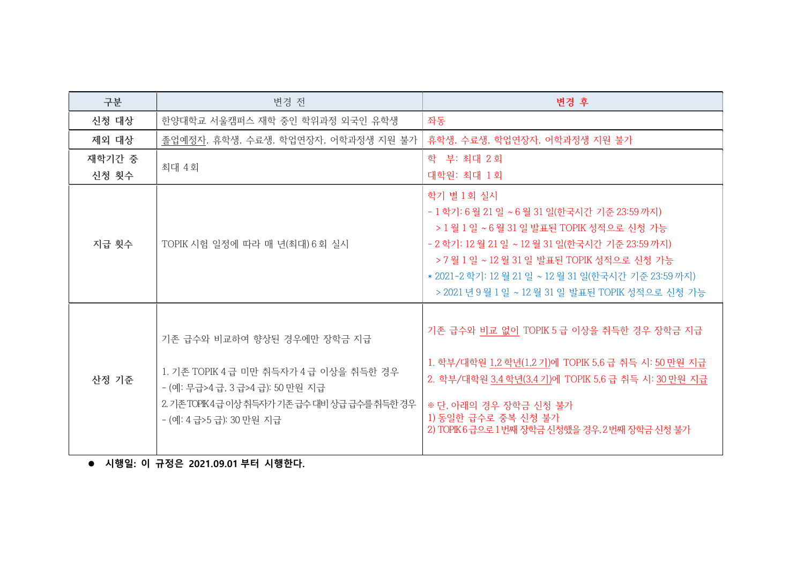| 구분              | 변경 전                                                                                                                                                                                | 변경 후                                                                                                                                                                                                                                                                                                                   |
|-----------------|-------------------------------------------------------------------------------------------------------------------------------------------------------------------------------------|------------------------------------------------------------------------------------------------------------------------------------------------------------------------------------------------------------------------------------------------------------------------------------------------------------------------|
| 신청 대상           | 한양대학교 서울캠퍼스 재학 중인 학위과정 외국인 유학생                                                                                                                                                      | 좌동                                                                                                                                                                                                                                                                                                                     |
| 제외 대상           | 졸업예정자, 휴학생, 수료생, 학업연장자, 어학과정생 지원 불가                                                                                                                                                 | 휴학생, 수료생, 학업연장자, 어학과정생 지원 불가                                                                                                                                                                                                                                                                                           |
| 재학기간 중<br>신청 횟수 | 최대 4회                                                                                                                                                                               | 학 부: 최대 2회<br>대학원: 최대 1회                                                                                                                                                                                                                                                                                               |
| 지급 횟수           | TOPIK 시험 일정에 따라 매 년(최대) 6회 실시                                                                                                                                                       | 학기 별 1회 실시<br>- 1 학기: 6 월 21 일 ~ 6 월 31 일(한국시간 기준 23:59 까지)<br>> 1 월 1 일 ~ 6 월 31 일 발표된 TOPIK 성적으로 신청 가능<br>- 2 학기: 12 월 21 일 ~ 12 월 31 일(한국시간 기준 23:59 까지)<br>> 7 월 1 일 ~ 12 월 31 일 발표된 TOPIK 성적으로 신청 가능<br>* 2021-2 학기: 12 월 21 일 ~ 12 월 31 일(한국시간 기준 23:59 까지)<br>> 2021 년 9 월 1 일 ~ 12 월 31 일 발표된 TOPIK 성적으로 신청 가능 |
| 산정 기준           | 기존 급수와 비교하여 향상된 경우에만 장학금 지급<br>1. 기존 TOPIK 4 급 미만 취득자가 4 급 이상을 취득한 경우<br>- (예: 무급>4급, 3 급>4급): 50 만원 지급<br>2. 기존 TOPIK4급 이상 취득자가 기존 급수 대비 상급 급수를 취득한 경우<br>- (예: 4 급>5 급): 30 만원 지급 | 기존 급수와 비교 없이 TOPIK 5 급 이상을 취득한 경우 장학금 지급<br>1. 학부/대학원 1,2 학년(1,2 기)에 TOPIK 5,6 급 취득 시: 50 만원 지급<br>2. 학부/대학원 3,4 학년(3,4 기)에 TOPIK 5,6 급 취득 시: 30 만원 지급<br>※ 단, 아래의 경우 장학금 신청 불가<br>1) 동일한 급수로 중복 신청 불가<br>2) TOPIK6급으로 1 번째 장학금 신청했을 경우, 2 번째 장학금 신청 불가                                                                |

\_<br>● 시행일: 이 규정은 2021.09.01 부터 시행한다.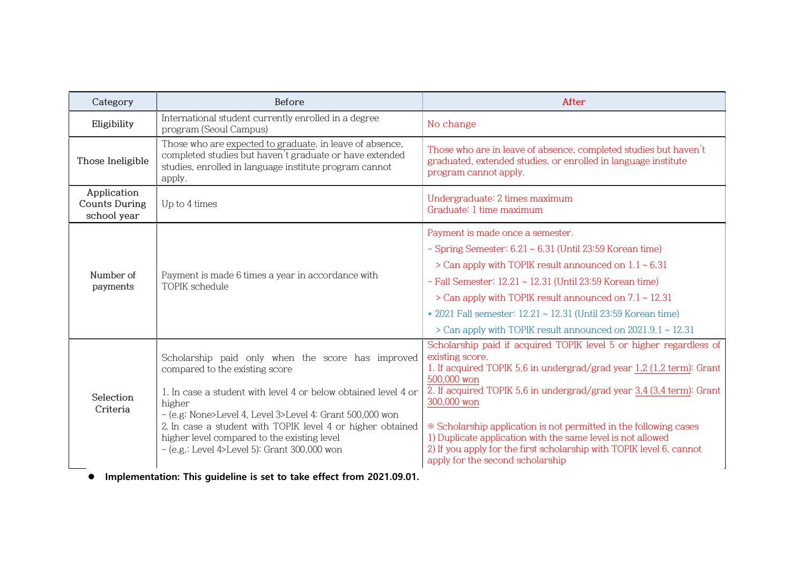| Category                                           | Before                                                                                                                                                                                                                                                                                                                                                                                   | After                                                                                                                                                                                                                                                                                                                                                                                                                                                                                                                 |
|----------------------------------------------------|------------------------------------------------------------------------------------------------------------------------------------------------------------------------------------------------------------------------------------------------------------------------------------------------------------------------------------------------------------------------------------------|-----------------------------------------------------------------------------------------------------------------------------------------------------------------------------------------------------------------------------------------------------------------------------------------------------------------------------------------------------------------------------------------------------------------------------------------------------------------------------------------------------------------------|
| Eligibility                                        | International student currently enrolled in a degree<br>program (Seoul Campus)                                                                                                                                                                                                                                                                                                           | No change                                                                                                                                                                                                                                                                                                                                                                                                                                                                                                             |
| Those Ineligible                                   | Those who are expected to graduate, in leave of absence,<br>completed studies but haven't graduate or have extended<br>studies, enrolled in language institute program cannot<br>apply.                                                                                                                                                                                                  | Those who are in leave of absence, completed studies but haven't<br>graduated, extended studies, or enrolled in language institute<br>program cannot apply.                                                                                                                                                                                                                                                                                                                                                           |
| Application<br><b>Counts During</b><br>school year | Up to 4 times                                                                                                                                                                                                                                                                                                                                                                            | Undergraduate: 2 times maximum<br>Graduate: 1 time maximum                                                                                                                                                                                                                                                                                                                                                                                                                                                            |
| Number of<br>payments                              | Payment is made 6 times a year in accordance with<br><b>TOPIK</b> schedule                                                                                                                                                                                                                                                                                                               | Payment is made once a semester.<br>- Spring Semester: $6.21 \sim 6.31$ (Until 23:59 Korean time)<br>> Can apply with TOPIK result announced on $1.1 \sim 6.31$<br>- Fall Semester: 12.21 ~ 12.31 (Until 23:59 Korean time)<br>$>$ Can apply with TOPIK result announced on $7.1 \sim 12.31$<br>* 2021 Fall semester: 12.21 ~ 12.31 (Until 23:59 Korean time)<br>> Can apply with TOPIK result announced on 2021.9.1 ~ 12.31                                                                                          |
| Selection<br>Criteria                              | Scholarship paid only when the score has improved<br>compared to the existing score<br>1. In case a student with level 4 or below obtained level 4 or<br>higher<br>- (e.g: None>Level 4, Level 3>Level 4: Grant 500,000 won<br>2. In case a student with TOPIK level 4 or higher obtained<br>higher level compared to the existing level<br>- (e.g.: Level 4>Level 5): Grant 300,000 won | Scholarship paid if acquired TOPIK level 5 or higher regardless of<br>existing score.<br>1. If acquired TOPIK 5,6 in undergrad/grad year 1,2 (1,2 term): Grant<br>500,000 won<br>2. If acquired TOPIK 5,6 in undergrad/grad year 3,4 (3,4 term): Grant<br>300,000 won<br>* Scholarship application is not permitted in the following cases<br>1) Duplicate application with the same level is not allowed<br>2) If you apply for the first scholarship with TOPIK level 6, cannot<br>apply for the second scholarship |

Implementation: This guideline is set to take effect from 2021.09.01.